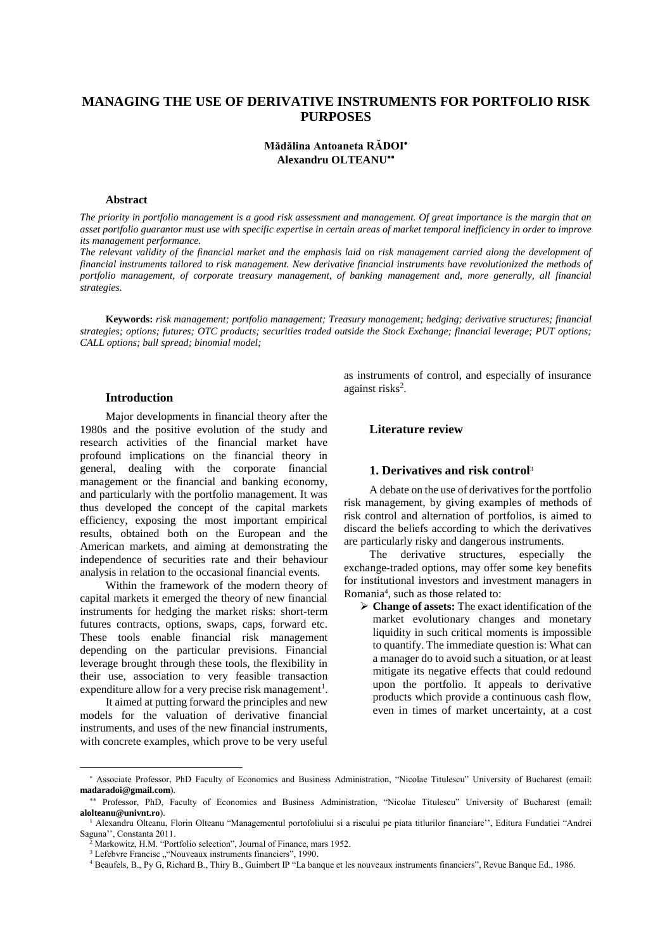# **MANAGING THE USE OF DERIVATIVE INSTRUMENTS FOR PORTFOLIO RISK PURPOSES**

# **Mădălina Antoaneta RĂDOI Alexandru OLTEANU**

#### **Abstract**

*The priority in portfolio management is a good risk assessment and management. Of great importance is the margin that an asset portfolio guarantor must use with specific expertise in certain areas of market temporal inefficiency in order to improve its management performance.* 

*The relevant validity of the financial market and the emphasis laid on risk management carried along the development of financial instruments tailored to risk management. New derivative financial instruments have revolutionized the methods of portfolio management, of corporate treasury management, of banking management and, more generally, all financial strategies.* 

**Keywords:** *risk management; portfolio management; Treasury management; hedging; derivative structures; financial strategies; options; futures; OTC products; securities traded outside the Stock Exchange; financial leverage; PUT options; CALL options; bull spread; binomial model;* 

### **Introduction**

Major developments in financial theory after the 1980s and the positive evolution of the study and research activities of the financial market have profound implications on the financial theory in general, dealing with the corporate financial management or the financial and banking economy, and particularly with the portfolio management. It was thus developed the concept of the capital markets efficiency, exposing the most important empirical results, obtained both on the European and the American markets, and aiming at demonstrating the independence of securities rate and their behaviour analysis in relation to the occasional financial events.

Within the framework of the modern theory of capital markets it emerged the theory of new financial instruments for hedging the market risks: short-term futures contracts, options, swaps, caps, forward etc. These tools enable financial risk management depending on the particular previsions. Financial leverage brought through these tools, the flexibility in their use, association to very feasible transaction expenditure allow for a very precise risk management<sup>1</sup>.

It aimed at putting forward the principles and new models for the valuation of derivative financial instruments, and uses of the new financial instruments, with concrete examples, which prove to be very useful

as instruments of control, and especially of insurance against risks<sup>2</sup>.

### **Literature review**

## **1. Derivatives and risk control**<sup>3</sup>

A debate on the use of derivatives for the portfolio risk management, by giving examples of methods of risk control and alternation of portfolios, is aimed to discard the beliefs according to which the derivatives are particularly risky and dangerous instruments.

The derivative structures, especially the exchange-traded options, may offer some key benefits for institutional investors and investment managers in Romania<sup>4</sup> , such as those related to:

 **Change of assets:** The exact identification of the market evolutionary changes and monetary liquidity in such critical moments is impossible to quantify. The immediate question is: What can a manager do to avoid such a situation, or at least mitigate its negative effects that could redound upon the portfolio. It appeals to derivative products which provide a continuous cash flow, even in times of market uncertainty, at a cost

Associate Professor, PhD Faculty of Economics and Business Administration, "Nicolae Titulescu" University of Bucharest (email: **madaradoi@gmail.com**).

 Professor, PhD, Faculty of Economics and Business Administration, "Nicolae Titulescu" University of Bucharest (email: **alolteanu@univnt.ro**).

<sup>1</sup> Alexandru Olteanu, Florin Olteanu "Managementul portofoliului si a riscului pe piata titlurilor financiare'', Editura Fundatiei "Andrei Saguna'', Constanta 2011.

<sup>2</sup> Markowitz, H.M. "Portfolio selection", Journal of Finance, mars 1952.

 $3$  Lefebvre Francisc ""Nouveaux instruments financiers", 1990.

<sup>4</sup> Beaufels, B., Py G, Richard B., Thiry B., Guimbert IP "La banque et les nouveaux instruments financiers", Revue Banque Ed., 1986.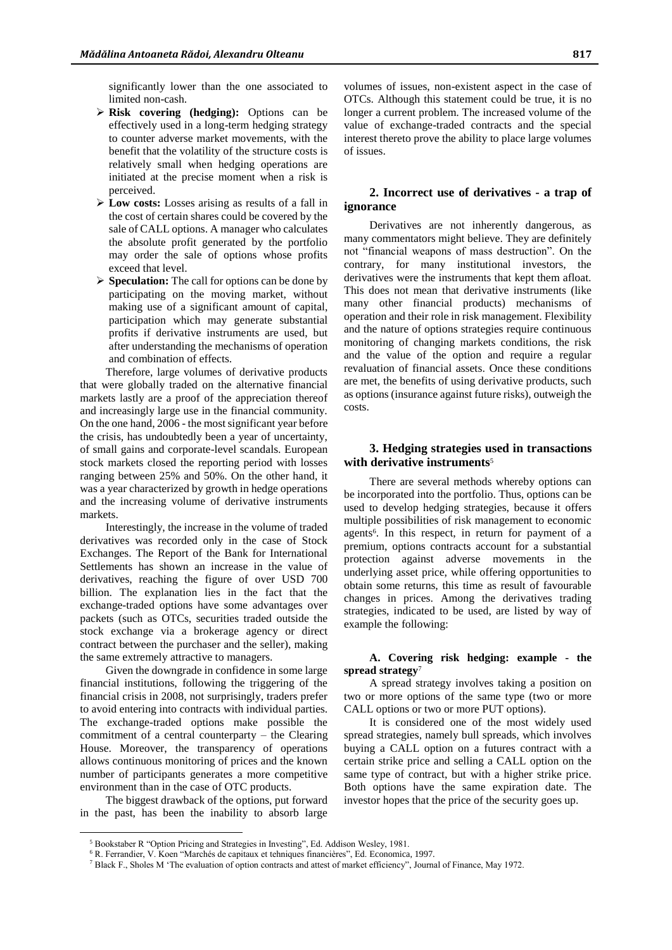significantly lower than the one associated to limited non-cash.

- **Risk covering (hedging):** Options can be effectively used in a long-term hedging strategy to counter adverse market movements, with the benefit that the volatility of the structure costs is relatively small when hedging operations are initiated at the precise moment when a risk is perceived.
- **Low costs:** Losses arising as results of a fall in the cost of certain shares could be covered by the sale of CALL options. A manager who calculates the absolute profit generated by the portfolio may order the sale of options whose profits exceed that level.
- **Speculation:** The call for options can be done by participating on the moving market, without making use of a significant amount of capital, participation which may generate substantial profits if derivative instruments are used, but after understanding the mechanisms of operation and combination of effects.

Therefore, large volumes of derivative products that were globally traded on the alternative financial markets lastly are a proof of the appreciation thereof and increasingly large use in the financial community. On the one hand, 2006 - the most significant year before the crisis, has undoubtedly been a year of uncertainty, of small gains and corporate-level scandals. European stock markets closed the reporting period with losses ranging between 25% and 50%. On the other hand, it was a year characterized by growth in hedge operations and the increasing volume of derivative instruments markets.

Interestingly, the increase in the volume of traded derivatives was recorded only in the case of Stock Exchanges. The Report of the Bank for International Settlements has shown an increase in the value of derivatives, reaching the figure of over USD 700 billion. The explanation lies in the fact that the exchange-traded options have some advantages over packets (such as OTCs, securities traded outside the stock exchange via a brokerage agency or direct contract between the purchaser and the seller), making the same extremely attractive to managers.

Given the downgrade in confidence in some large financial institutions, following the triggering of the financial crisis in 2008, not surprisingly, traders prefer to avoid entering into contracts with individual parties. The exchange-traded options make possible the commitment of a central counterparty – the Clearing House. Moreover, the transparency of operations allows continuous monitoring of prices and the known number of participants generates a more competitive environment than in the case of OTC products.

The biggest drawback of the options, put forward in the past, has been the inability to absorb large

 $\overline{a}$ 

volumes of issues, non-existent aspect in the case of OTCs. Although this statement could be true, it is no longer a current problem. The increased volume of the value of exchange-traded contracts and the special interest thereto prove the ability to place large volumes of issues.

# **2. Incorrect use of derivatives - a trap of ignorance**

Derivatives are not inherently dangerous, as many commentators might believe. They are definitely not "financial weapons of mass destruction". On the contrary, for many institutional investors, the derivatives were the instruments that kept them afloat. This does not mean that derivative instruments (like many other financial products) mechanisms of operation and their role in risk management. Flexibility and the nature of options strategies require continuous monitoring of changing markets conditions, the risk and the value of the option and require a regular revaluation of financial assets. Once these conditions are met, the benefits of using derivative products, such as options (insurance against future risks), outweigh the costs.

## **3. Hedging strategies used in transactions with derivative instruments**<sup>5</sup>

There are several methods whereby options can be incorporated into the portfolio. Thus, options can be used to develop hedging strategies, because it offers multiple possibilities of risk management to economic agents 6 . In this respect, in return for payment of a premium, options contracts account for a substantial protection against adverse movements in the underlying asset price, while offering opportunities to obtain some returns, this time as result of favourable changes in prices. Among the derivatives trading strategies, indicated to be used, are listed by way of example the following:

### **A. Covering risk hedging: example - the spread strategy**<sup>7</sup>

A spread strategy involves taking a position on two or more options of the same type (two or more CALL options or two or more PUT options).

It is considered one of the most widely used spread strategies, namely bull spreads, which involves buying a CALL option on a futures contract with a certain strike price and selling a CALL option on the same type of contract, but with a higher strike price. Both options have the same expiration date. The investor hopes that the price of the security goes up.

<sup>5</sup> Bookstaber R "Option Pricing and Strategies in Investing", Ed. Addison Wesley, 1981.

<sup>6</sup> R. Ferrandier, V. Koen "Marchés de capitaux et tehniques financières", Ed. Economica, 1997.

<sup>7</sup> Black F., Sholes M 'The evaluation of option contracts and attest of market efficiency", Journal of Finance, May 1972.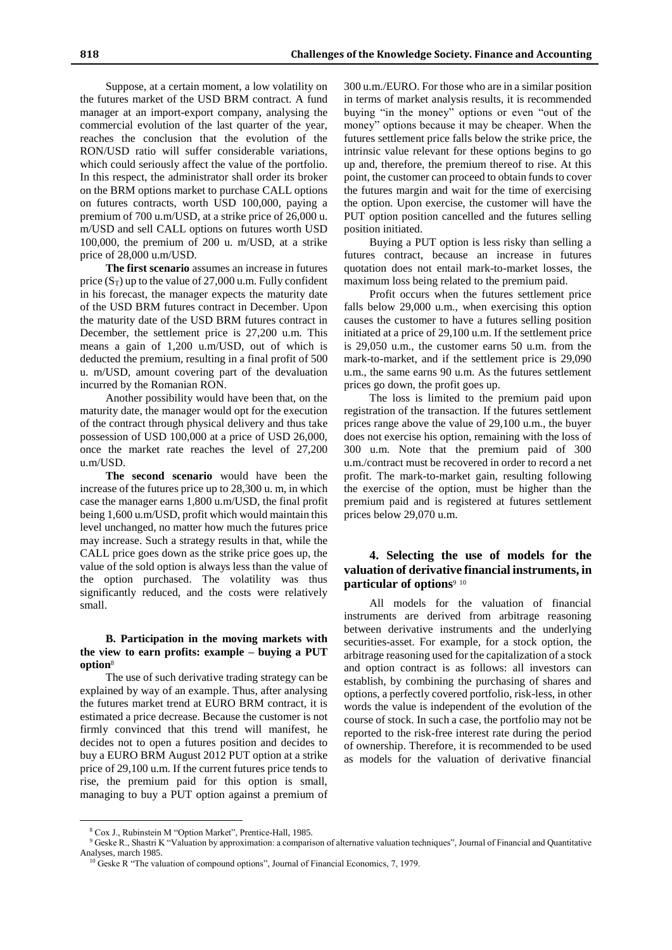Suppose, at a certain moment, a low volatility on the futures market of the USD BRM contract. A fund manager at an import-export company, analysing the commercial evolution of the last quarter of the year, reaches the conclusion that the evolution of the RON/USD ratio will suffer considerable variations, which could seriously affect the value of the portfolio. In this respect, the administrator shall order its broker on the BRM options market to purchase CALL options on futures contracts, worth USD 100,000, paying a premium of 700 u.m/USD, at a strike price of 26,000 u. m/USD and sell CALL options on futures worth USD 100,000, the premium of 200 u. m/USD, at a strike price of 28,000 u.m/USD.

**The first scenario** assumes an increase in futures price  $(S_T)$  up to the value of 27,000 u.m. Fully confident in his forecast, the manager expects the maturity date of the USD BRM futures contract in December. Upon the maturity date of the USD BRM futures contract in December, the settlement price is 27,200 u.m. This means a gain of 1,200 u.m/USD, out of which is deducted the premium, resulting in a final profit of 500 u. m/USD, amount covering part of the devaluation incurred by the Romanian RON.

Another possibility would have been that, on the maturity date, the manager would opt for the execution of the contract through physical delivery and thus take possession of USD 100,000 at a price of USD 26,000, once the market rate reaches the level of 27,200 u.m/USD.

**The second scenario** would have been the increase of the futures price up to 28,300 u. m, in which case the manager earns 1,800 u.m/USD, the final profit being 1,600 u.m/USD, profit which would maintain this level unchanged, no matter how much the futures price may increase. Such a strategy results in that, while the CALL price goes down as the strike price goes up, the value of the sold option is always less than the value of the option purchased. The volatility was thus significantly reduced, and the costs were relatively small.

### **B. Participation in the moving markets with the view to earn profits: example – buying a PUT option**<sup>8</sup>

The use of such derivative trading strategy can be explained by way of an example. Thus, after analysing the futures market trend at EURO BRM contract, it is estimated a price decrease. Because the customer is not firmly convinced that this trend will manifest, he decides not to open a futures position and decides to buy a EURO BRM August 2012 PUT option at a strike price of 29,100 u.m. If the current futures price tends to rise, the premium paid for this option is small, managing to buy a PUT option against a premium of 300 u.m./EURO. For those who are in a similar position in terms of market analysis results, it is recommended buying "in the money" options or even "out of the money" options because it may be cheaper. When the futures settlement price falls below the strike price, the intrinsic value relevant for these options begins to go up and, therefore, the premium thereof to rise. At this point, the customer can proceed to obtain funds to cover the futures margin and wait for the time of exercising the option. Upon exercise, the customer will have the PUT option position cancelled and the futures selling position initiated.

Buying a PUT option is less risky than selling a futures contract, because an increase in futures quotation does not entail mark-to-market losses, the maximum loss being related to the premium paid.

Profit occurs when the futures settlement price falls below 29,000 u.m., when exercising this option causes the customer to have a futures selling position initiated at a price of 29,100 u.m. If the settlement price is 29,050 u.m., the customer earns 50 u.m. from the mark-to-market, and if the settlement price is 29,090 u.m., the same earns 90 u.m. As the futures settlement prices go down, the profit goes up.

The loss is limited to the premium paid upon registration of the transaction. If the futures settlement prices range above the value of 29,100 u.m., the buyer does not exercise his option, remaining with the loss of 300 u.m. Note that the premium paid of 300 u.m./contract must be recovered in order to record a net profit. The mark-to-market gain, resulting following the exercise of the option, must be higher than the premium paid and is registered at futures settlement prices below 29,070 u.m.

# **4. Selecting the use of models for the valuation of derivative financial instruments, in particular of options**<sup>9</sup> <sup>10</sup>

All models for the valuation of financial instruments are derived from arbitrage reasoning between derivative instruments and the underlying securities-asset. For example, for a stock option, the arbitrage reasoning used for the capitalization of a stock and option contract is as follows: all investors can establish, by combining the purchasing of shares and options, a perfectly covered portfolio, risk-less, in other words the value is independent of the evolution of the course of stock. In such a case, the portfolio may not be reported to the risk-free interest rate during the period of ownership. Therefore, it is recommended to be used as models for the valuation of derivative financial

 $\overline{a}$ 

<sup>8</sup> Cox J., Rubinstein M "Option Market", Prentice-Hall, 1985.

<sup>&</sup>lt;sup>9</sup> Geske R., Shastri K "Valuation by approximation: a comparison of alternative valuation techniques", Journal of Financial and Quantitative Analyses, march 1985.

<sup>&</sup>lt;sup>10</sup> Geske R "The valuation of compound options", Journal of Financial Economics, 7, 1979.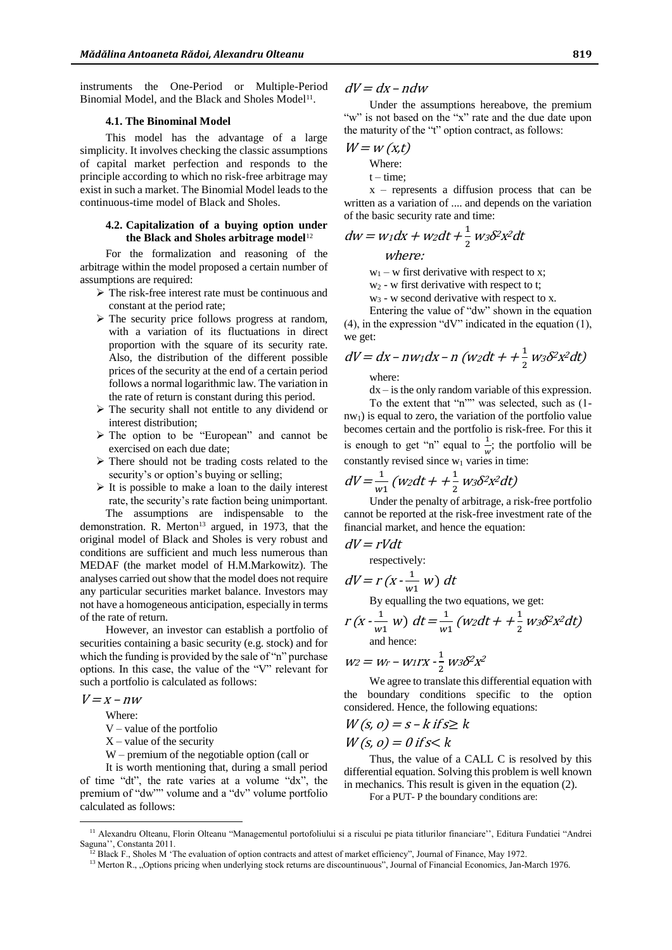instruments the One-Period or Multiple-Period Binomial Model, and the Black and Sholes Model<sup>11</sup>.

#### **4.1. The Binominal Model**

This model has the advantage of a large simplicity. It involves checking the classic assumptions of capital market perfection and responds to the principle according to which no risk-free arbitrage may exist in such a market. The Binomial Model leads to the continuous-time model of Black and Sholes.

### **4.2. Capitalization of a buying option under the Black and Sholes arbitrage model**<sup>12</sup>

For the formalization and reasoning of the arbitrage within the model proposed a certain number of assumptions are required:

- The risk-free interest rate must be continuous and constant at the period rate;
- $\triangleright$  The security price follows progress at random, with a variation of its fluctuations in direct proportion with the square of its security rate. Also, the distribution of the different possible prices of the security at the end of a certain period follows a normal logarithmic law. The variation in the rate of return is constant during this period.
- $\triangleright$  The security shall not entitle to any dividend or interest distribution;
- The option to be "European" and cannot be exercised on each due date;
- $\triangleright$  There should not be trading costs related to the security's or option's buying or selling;
- $\triangleright$  It is possible to make a loan to the daily interest rate, the security's rate faction being unimportant. The assumptions are indispensable to the

demonstration. R. Merton<sup>13</sup> argued, in 1973, that the original model of Black and Sholes is very robust and conditions are sufficient and much less numerous than MEDAF (the market model of H.M.Markowitz). The analyses carried out show that the model does not require any particular securities market balance. Investors may not have a homogeneous anticipation, especially in terms of the rate of return.

However, an investor can establish a portfolio of securities containing a basic security (e.g. stock) and for which the funding is provided by the sale of "n" purchase options. In this case, the value of the "V" relevant for such a portfolio is calculated as follows:

$$
V = x - nw
$$

 $\overline{a}$ 

Where:

V – value of the portfolio

- $X$  value of the security
- W premium of the negotiable option (call or

It is worth mentioning that, during a small period of time "dt", the rate varies at a volume "dx", the premium of "dw"" volume and a "dv" volume portfolio calculated as follows:

# $dV = dx - ndw$

Under the assumptions hereabove, the premium "w" is not based on the "x" rate and the due date upon the maturity of the "t" option contract, as follows:

$$
W = w(x,t)
$$

Where:

 $t - time;$ 

 $x$  – represents a diffusion process that can be written as a variation of .... and depends on the variation of the basic security rate and time:

$$
dw = w_1 dx + w_2 dt + \frac{1}{2} w_3 \delta^2 x^2 dt
$$

where:

 $w_1 - w$  first derivative with respect to x;

 $w_2$  - w first derivative with respect to t;

w<sup>3</sup> - w second derivative with respect to x.

Entering the value of "dw" shown in the equation (4), in the expression "dV" indicated in the equation (1), we get:

$$
dV = dx - nw_1dx - n(w_2dt + \frac{1}{2}w_3\delta^2x^2dt)
$$

where:

 $dx - is$  the only random variable of this expression.

To the extent that "n"" was selected, such as (1  $nw<sub>1</sub>$ ) is equal to zero, the variation of the portfolio value becomes certain and the portfolio is risk-free. For this it is enough to get "n" equal to  $\frac{1}{w}$ ; the portfolio will be constantly revised since  $w_1$  varies in time:

$$
dV = \frac{1}{w_1}(w_2dt + \frac{1}{2}w_3\delta^2x^2dt)
$$

Under the penalty of arbitrage, a risk-free portfolio cannot be reported at the risk-free investment rate of the financial market, and hence the equation:

$$
dV = rVdt
$$

respectively:

$$
dV = r\left(x - \frac{1}{w_1} w\right) dt
$$

By equalling the two equations, we get:

$$
r(x - \frac{1}{w1} w) dt = \frac{1}{w1} (w2dt + \frac{1}{2} w3\delta^2 x^2 dt)
$$
  
and hence:

$$
w_2 = w_r - w_1rx - \frac{1}{2}w_3\delta^2 x^2
$$

We agree to translate this differential equation with the boundary conditions specific to the option considered. Hence, the following equations:

$$
W(s, o) = s - k \text{ if } s \ge k
$$
  
 
$$
W(s, o) = 0 \text{ if } s < k
$$

Thus, the value of a CALL C is resolved by this differential equation. Solving this problem is well known in mechanics. This result is given in the equation (2).

For a PUT- P the boundary conditions are:

<sup>&</sup>lt;sup>11</sup> Alexandru Olteanu, Florin Olteanu "Managementul portofoliului si a riscului pe piata titlurilor financiare", Editura Fundatiei "Andrei Saguna'', Constanta 2011.

<sup>&</sup>lt;sup>12</sup> Black F., Sholes M 'The evaluation of option contracts and attest of market efficiency", Journal of Finance, May 1972.

<sup>&</sup>lt;sup>13</sup> Merton R., "Options pricing when underlying stock returns are discountinuous", Journal of Financial Economics, Jan-March 1976.